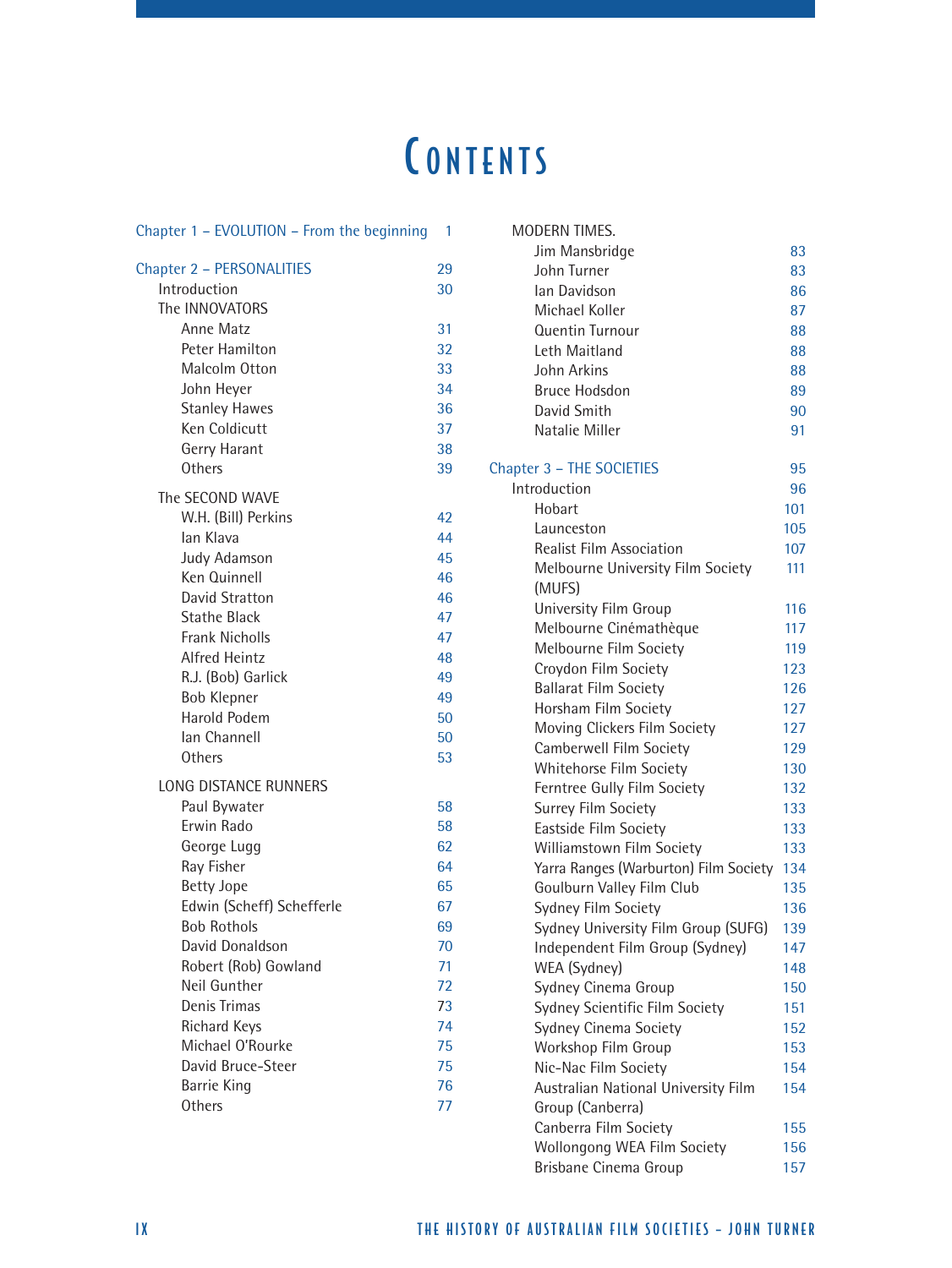## **CONTENTS**

| 1  | <b>MODE</b>                                                                      |
|----|----------------------------------------------------------------------------------|
|    | Jin                                                                              |
| 29 | Jol                                                                              |
| 30 | lar                                                                              |
|    | Mi                                                                               |
| 31 | Qυ                                                                               |
| 32 | Le <sup>-</sup>                                                                  |
| 33 | Jol                                                                              |
| 34 | Br                                                                               |
| 36 | Da                                                                               |
| 37 | Na                                                                               |
| 38 |                                                                                  |
| 39 | Chapter <sub>3</sub>                                                             |
|    | Introd                                                                           |
|    | Hc                                                                               |
|    | La                                                                               |
|    | Re                                                                               |
|    | Μ                                                                                |
|    | (M <sup>o</sup> )                                                                |
|    | Ur                                                                               |
|    | M <sub>6</sub>                                                                   |
|    | M <sub>6</sub>                                                                   |
|    | Cr                                                                               |
|    | Ba                                                                               |
|    | Ho                                                                               |
|    | M                                                                                |
|    | Ca                                                                               |
|    | WI                                                                               |
|    | Fer                                                                              |
|    | Su                                                                               |
| 58 | Ea                                                                               |
| 62 | Wi                                                                               |
| 64 | Ya                                                                               |
| 65 | Gc                                                                               |
| 67 | Sy                                                                               |
| 69 | Sy                                                                               |
| 70 | Ino                                                                              |
| 71 | WI                                                                               |
| 72 | Sy                                                                               |
| 73 | Sy                                                                               |
| 74 | Sy                                                                               |
| 75 | W                                                                                |
| 75 | Ni                                                                               |
| 76 | Au                                                                               |
| 77 | Gr                                                                               |
|    | Ca                                                                               |
|    | 42<br>44<br>45<br>46<br>46<br>47<br>47<br>48<br>49<br>49<br>50<br>50<br>53<br>58 |

| MODERN TIMES.                         |     |
|---------------------------------------|-----|
| Jim Mansbridge                        | 83  |
| John Turner                           | 83  |
| lan Davidson                          | 86  |
| Michael Koller                        | 87  |
| <b>Quentin Turnour</b>                | 88  |
| Leth Maitland                         | 88  |
| John Arkins                           | 88  |
| <b>Bruce Hodsdon</b>                  | 89  |
| David Smith                           | 90  |
| Natalie Miller                        | 91  |
| Chapter 3 - THE SOCIETIES             | 95  |
| Introduction                          | 96  |
| Hobart                                | 101 |
| Launceston                            | 105 |
| <b>Realist Film Association</b>       | 107 |
| Melbourne University Film Society     | 111 |
| (MUFS)                                |     |
| University Film Group                 | 116 |
| Melbourne Cinémathèque                | 117 |
| Melbourne Film Society                | 119 |
| Croydon Film Society                  | 123 |
| <b>Ballarat Film Society</b>          | 126 |
| Horsham Film Society                  | 127 |
| Moving Clickers Film Society          | 127 |
| Camberwell Film Society               | 129 |
| Whitehorse Film Society               | 130 |
| Ferntree Gully Film Society           | 132 |
| Surrey Film Society                   | 133 |
| Eastside Film Society                 | 133 |
| Williamstown Film Society             | 133 |
| Yarra Ranges (Warburton) Film Society | 134 |
| Goulburn Valley Film Club             | 135 |
| Sydney Film Society                   | 136 |
| Sydney University Film Group (SUFG)   | 139 |
| Independent Film Group (Sydney)       | 147 |
| WEA (Sydney)                          | 148 |
| Sydney Cinema Group                   | 150 |
| Sydney Scientific Film Society        | 151 |
| <b>Sydney Cinema Society</b>          | 152 |
| Workshop Film Group                   | 153 |
| Nic-Nac Film Society                  | 154 |
| Australian National University Film   | 154 |
| Group (Canberra)                      |     |
| Canberra Film Society                 | 155 |
| Wollongong WEA Film Society           | 156 |
| <b>Brisbane Cinema Group</b>          | 157 |